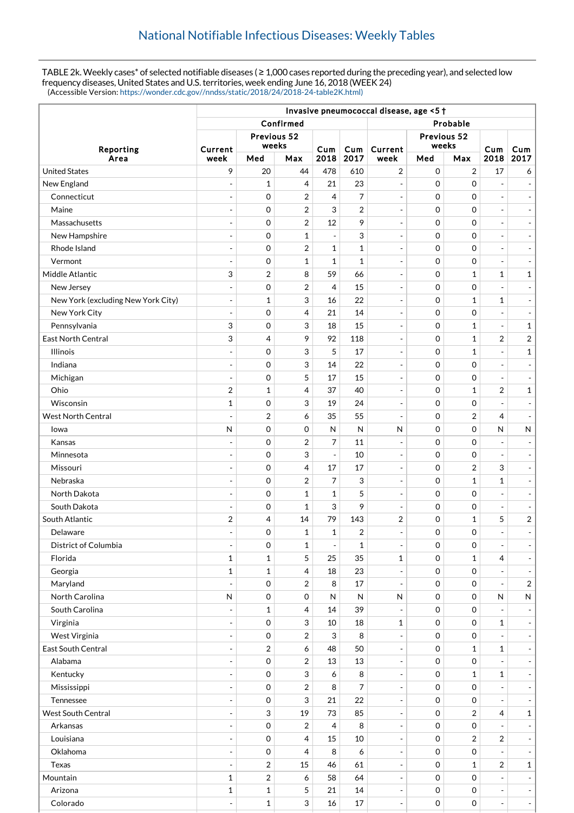TABLE 2k. Weekly cases\* of selected notifiable diseases ( ≥ 1,000 cases reported during the preceding year), and selected low frequency diseases, United States and U.S. territories, week ending June 16, 2018 (WEEK 24) (Accessible Version: [https://wonder.cdc.gov//nndss/static/2018/24/2018-24-table2K.html\)](https://wonder.cdc.gov//nndss/static/2018/24/2018-24-table2K.html)

|                                    | Invasive pneumococcal disease, age <5 + |                |                |                          |              |                          |             |                     |                |                              |
|------------------------------------|-----------------------------------------|----------------|----------------|--------------------------|--------------|--------------------------|-------------|---------------------|----------------|------------------------------|
|                                    |                                         |                | Confirmed      | Probable                 |              |                          |             |                     |                |                              |
| Reporting<br>Area                  | Previous 52                             |                |                |                          |              | Previous 52              |             |                     |                |                              |
|                                    | Current                                 | weeks          |                | Cum<br>2018              | Cum<br>2017  | Current                  |             | weeks               |                | Cum                          |
|                                    | week                                    | Med<br>Max     |                |                          |              | week                     | Med         | Max                 | Cum<br>2018    | 2017                         |
| <b>United States</b>               | 9                                       | 20             | 44             | 478                      | 610          | $\overline{2}$           | $\mathbf 0$ | $\overline{2}$      | 17             | 6                            |
| New England                        | $\overline{a}$                          | $\mathbf{1}$   | 4              | 21                       | 23           | $\overline{\phantom{a}}$ | $\Omega$    | $\mathbf 0$         | $\overline{a}$ |                              |
| Connecticut                        |                                         | 0              | 2              | $\overline{4}$           | 7            | $\overline{\phantom{a}}$ | $\mathbf 0$ | $\mathbf 0$         | $\overline{a}$ |                              |
| Maine                              | ÷,                                      | 0              | $\overline{2}$ | 3                        | 2            | $\blacksquare$           | $\mathbf 0$ | $\mathbf 0$         | $\overline{a}$ | $\overline{\phantom{a}}$     |
| Massachusetts                      | $\overline{a}$                          | $\mathbf 0$    | $\overline{2}$ | 12                       | 9            | $\blacksquare$           | $\mathbf 0$ | $\mathbf 0$         | $\overline{a}$ | $\blacksquare$               |
| New Hampshire                      | ÷,                                      | 0              | $\mathbf 1$    | $\blacksquare$           | 3            | $\overline{\phantom{a}}$ | $\mathbf 0$ | $\mathbf 0$         | $\overline{a}$ | $\overline{\phantom{a}}$     |
| Rhode Island                       | $\overline{a}$                          | 0              | 2              | $\mathbf{1}$             | $\mathbf{1}$ | $\overline{\phantom{a}}$ | $\mathbf 0$ | $\mathbf 0$         | $\overline{a}$ | $\blacksquare$               |
| Vermont                            | $\overline{a}$                          | 0              | $\mathbf{1}$   | $\mathbf{1}$             | $\mathbf{1}$ | $\blacksquare$           | $\mathbf 0$ | $\mathbf 0$         | $\overline{a}$ | $\qquad \qquad \blacksquare$ |
| Middle Atlantic                    | 3                                       | $\overline{2}$ | 8              | 59                       | 66           | $\overline{\phantom{a}}$ | $\mathbf 0$ | $\mathbf{1}$        | $\mathbf{1}$   | $\mathbf 1$                  |
| New Jersey                         | ÷,                                      | 0              | $\overline{2}$ | 4                        | 15           | $\overline{\phantom{a}}$ | $\mathbf 0$ | $\mathbf 0$         | $\overline{a}$ | $\overline{\phantom{m}}$     |
| New York (excluding New York City) | $\overline{a}$                          | $\mathbf{1}$   | 3              | 16                       | 22           | $\overline{\phantom{a}}$ | $\mathbf 0$ | $\mathbf{1}$        | $\mathbf{1}$   | $\overline{\phantom{a}}$     |
| New York City                      | $\overline{a}$                          | 0              | 4              | 21                       | 14           | $\blacksquare$           | $\mathbf 0$ | $\mathbf 0$         |                | $\overline{\phantom{a}}$     |
| Pennsylvania                       | 3                                       | 0              | 3              | 18                       | 15           | $\overline{\phantom{a}}$ | $\mathbf 0$ | $\mathbf{1}$        | $\overline{a}$ | $\mathbf 1$                  |
| East North Central                 | 3                                       | 4              | 9              | 92                       | 118          | $\blacksquare$           | $\mathbf 0$ | $\mathbf{1}$        | $\overline{2}$ | $\sqrt{2}$                   |
| <b>Illinois</b>                    | ÷,                                      | 0              | 3              | 5                        | 17           | $\overline{\phantom{a}}$ | $\mathbf 0$ | $\mathbf{1}$        | $\overline{a}$ | $\mathbf 1$                  |
| Indiana                            | $\overline{a}$                          | 0              | 3              | 14                       | 22           | $\overline{\phantom{a}}$ | $\mathbf 0$ | $\mathbf 0$         | $\overline{a}$ |                              |
| Michigan                           | $\overline{a}$                          | 0              | 5              | 17                       | 15           | $\blacksquare$           | $\mathbf 0$ | $\mathbf 0$         | $\overline{a}$ | $\qquad \qquad \blacksquare$ |
| Ohio                               | 2                                       | $\mathbf{1}$   | 4              | 37                       | 40           | $\overline{\phantom{a}}$ | $\mathbf 0$ | $\mathbf{1}$        | $\overline{2}$ | $\mathbf 1$                  |
| Wisconsin                          | $\mathbf{1}$                            | 0              | 3              | 19                       | 24           | $\overline{\phantom{a}}$ | $\mathbf 0$ | $\mathbf 0$         | $\overline{a}$ | $\overline{\phantom{a}}$     |
| <b>West North Central</b>          | ÷,                                      | $\overline{2}$ | 6              | 35                       | 55           | $\overline{\phantom{a}}$ | $\mathbf 0$ | $\overline{2}$      | 4              | $\sim$                       |
| lowa                               | N                                       | 0              | 0              | $\mathsf{N}$             | N            | N                        | $\mathbf 0$ | $\mathbf 0$         | N              | ${\sf N}$                    |
| Kansas                             |                                         | 0              | $\overline{2}$ | $\overline{7}$           | 11           | $\overline{\phantom{a}}$ | $\mathbf 0$ | $\mathbf 0$         |                |                              |
| Minnesota                          | $\overline{a}$                          | 0              | 3              | $\overline{\phantom{a}}$ | 10           | $\overline{\phantom{a}}$ | $\mathbf 0$ | $\mathbf 0$         | $\overline{a}$ | $\qquad \qquad \blacksquare$ |
| Missouri                           | $\overline{a}$                          | 0              | 4              | 17                       | 17           | $\overline{\phantom{a}}$ | $\mathbf 0$ | $\overline{2}$      | 3              | $\overline{\phantom{a}}$     |
| Nebraska                           |                                         | 0              | $\overline{2}$ | 7                        | 3            | $\overline{\phantom{a}}$ | $\mathbf 0$ | $\mathbf{1}$        | 1              | $\blacksquare$               |
| North Dakota                       | $\overline{a}$                          | 0              | $\mathbf{1}$   | $\mathbf{1}$             | 5            | $\blacksquare$           | 0           | $\mathbf 0$         | $\overline{a}$ | $\blacksquare$               |
| South Dakota                       |                                         | 0              | 1              | 3                        | 9            | $\overline{\phantom{a}}$ | $\mathbf 0$ | $\mathbf 0$         | $\overline{a}$ |                              |
| South Atlantic                     | 2                                       | 4              | 14             | 79                       | 143          | 2                        | $\mathbf 0$ | $\mathbf{1}$        | 5              | $\sqrt{2}$                   |
| Delaware                           |                                         | 0              | $\mathbf{1}$   | $\mathbf{1}$             | 2            | $\overline{\phantom{a}}$ | 0           | $\mathbf 0$         | ÷,             |                              |
| District of Columbia               | $\overline{\phantom{a}}$                | 0              | $\mathbf{1}$   | $\blacksquare$           | $\mathbf{1}$ | $\Box$                   | 0           | $\boldsymbol{0}$    | $\overline{a}$ |                              |
| Florida                            | $\mathbf{1}$                            | $\mathbf{1}$   | 5              | 25                       | 35           | $\mathbf 1$              | $\mathbf 0$ | $\mathbf{1}$        | 4              |                              |
| Georgia                            | $\mathbf 1$                             | $\mathbf{1}$   | 4              | 18                       | 23           | $\qquad \qquad -$        | 0           | $\boldsymbol{0}$    | $\overline{a}$ |                              |
| Maryland                           | $\overline{a}$                          | 0              | $\overline{2}$ | 8                        | 17           | $\overline{\phantom{a}}$ | $\mathbf 0$ | 0                   | $\overline{a}$ | $\sqrt{2}$                   |
| North Carolina                     | N                                       | 0              | 0              | $\mathsf{N}$             | $\mathsf{N}$ | N                        | $\mathbf 0$ | $\mathbf 0$         | N              | ${\sf N}$                    |
| South Carolina                     |                                         | $\mathbf{1}$   | 4              | 14                       | 39           | $\blacksquare$           | $\mathbf 0$ | $\mathsf{O}\xspace$ |                |                              |
| Virginia                           | ÷,                                      | 0              | 3              | 10                       | 18           | $\mathbf 1$              | $\mathbf 0$ | $\boldsymbol{0}$    | $\mathbf 1$    |                              |
| West Virginia                      | ÷,                                      | 0              | $\overline{2}$ | 3                        | 8            | $\overline{\phantom{a}}$ | $\mathbf 0$ | 0                   |                | $\overline{\phantom{a}}$     |
| East South Central                 |                                         | $\overline{2}$ | 6              | 48                       | 50           | $\blacksquare$           | $\mathbf 0$ | $\mathbf{1}$        | 1              |                              |
| Alabama                            | $\overline{\phantom{a}}$                | 0              | $\overline{2}$ | 13                       | 13           | $\Box$                   | $\mathbf 0$ | $\mathsf{O}\xspace$ |                |                              |
| Kentucky                           |                                         | $\,0\,$        | 3              | 6                        | 8            | $\overline{\phantom{a}}$ | $\mathbf 0$ | $\mathbf{1}$        | $\mathbf 1$    |                              |
| Mississippi                        | $\overline{a}$                          | $\mathbf 0$    | 2              | 8                        | 7            | $\qquad \qquad -$        | $\mathbf 0$ | $\boldsymbol{0}$    | ÷,             |                              |
| Tennessee                          | $\overline{a}$                          | 0              | 3              | 21                       | 22           | $\overline{\phantom{a}}$ | $\mathbf 0$ | 0                   | $\overline{a}$ |                              |
| <b>West South Central</b>          | $\overline{\phantom{a}}$                | 3              | 19             | 73                       | 85           | $\overline{\phantom{a}}$ | $\mathbf 0$ | $\overline{2}$      | 4              | $\mathbf{1}$                 |
| Arkansas                           |                                         | $\mathbf 0$    | $\overline{2}$ | 4                        | 8            | $\overline{\phantom{a}}$ | $\mathbf 0$ | $\mathsf{O}\xspace$ |                |                              |
| Louisiana                          | $\overline{a}$                          | 0              | 4              | 15                       | 10           | $\qquad \qquad -$        | $\mathbf 0$ | $\overline{c}$      | 2              | $\overline{\phantom{a}}$     |
| Oklahoma                           | $\overline{a}$                          | 0              | 4              | 8                        | 6            | $\overline{\phantom{a}}$ | $\mathbf 0$ | 0                   |                |                              |
| Texas                              |                                         | $\overline{2}$ | 15             | 46                       | 61           | $\overline{\phantom{a}}$ | $\mathbf 0$ | $\mathbf{1}$        | 2              | $\mathbf 1$                  |
| Mountain                           | $\mathbf 1$                             | $\sqrt{2}$     | 6              | 58                       | 64           | $\overline{\phantom{a}}$ | $\mathbf 0$ | $\mathsf{O}\xspace$ |                |                              |
| Arizona                            | $\mathbf 1$                             | $\mathbf 1$    | 5              | 21                       | $14\,$       | $\qquad \qquad -$        | $\mathbf 0$ | 0                   | $\overline{a}$ |                              |
| Colorado                           |                                         | $\mathbf{1}$   | 3              | $16\,$                   | $17\,$       | $\blacksquare$           | $\mathbf 0$ | $\mathsf{O}\xspace$ | $\blacksquare$ | $\omega$                     |
|                                    |                                         |                |                |                          |              |                          |             |                     |                |                              |